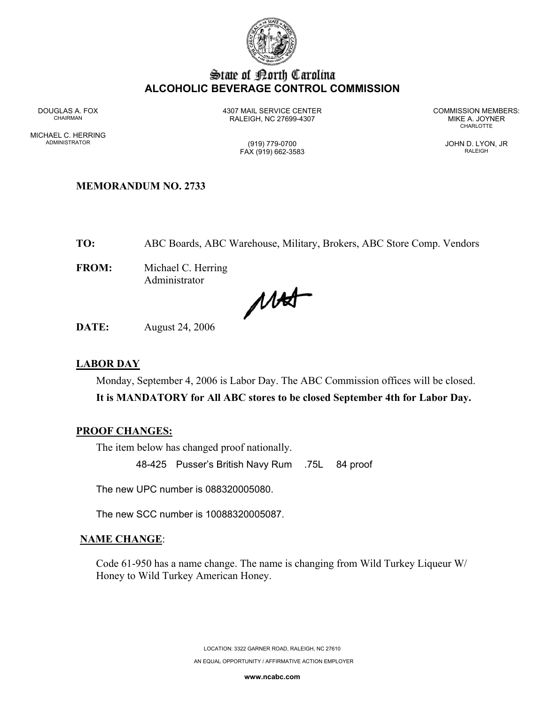

# State of Borth Carolina **ALCOHOLIC BEVERAGE CONTROL COMMISSION**

MICHAEL C. HERRING ADMINISTRATOR (919) 779-0700 JOHN D. LYON, JR

DOUGLAS A. FOX 4307 MAIL SERVICE CENTER COMMISSION MEMBERS: CHAIRMAN RALEIGH, NC 27699-4307 MIKE A. JOYNER

**CHARLOTTE** 

FAX (919) 662-3583 RALEIGH

### **MEMORANDUM NO. 2733**

**TO:** ABC Boards, ABC Warehouse, Military, Brokers, ABC Store Comp. Vendors

**FROM:** Michael C. Herring Administrator

MAS

**DATE:** August 24, 2006

#### **LABOR DAY**

Monday, September 4, 2006 is Labor Day. The ABC Commission offices will be closed.

**It is MANDATORY for All ABC stores to be closed September 4th for Labor Day.** 

#### **PROOF CHANGES:**

The item below has changed proof nationally.

48-425 Pusser's British Navy Rum .75L 84 proof

The new UPC number is 088320005080.

The new SCC number is 10088320005087.

#### **NAME CHANGE**:

Code 61-950 has a name change. The name is changing from Wild Turkey Liqueur W/ Honey to Wild Turkey American Honey.

> LOCATION: 3322 GARNER ROAD, RALEIGH, NC 27610 AN EQUAL OPPORTUNITY / AFFIRMATIVE ACTION EMPLOYER

> > **www.ncabc.com**